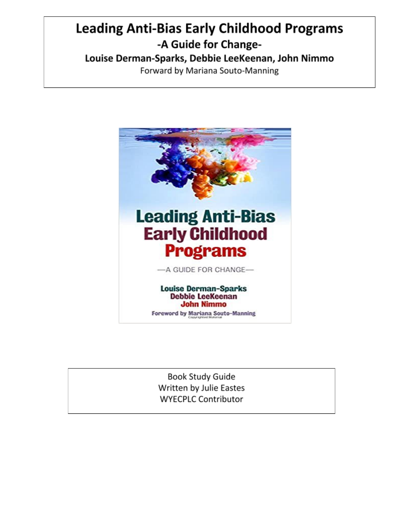# **Leading Anti-Bias Early Childhood Programs** -A Guide for Change-Louise Derman-Sparks, Debbie LeeKeenan, John Nimmo

Forward by Mariana Souto-Manning



**Book Study Guide** Written by Julie Eastes **WYECPLC Contributor**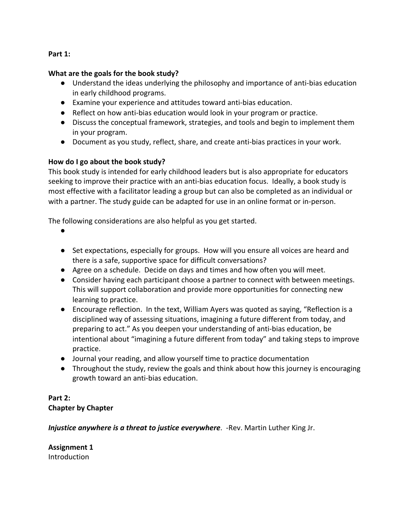#### **Part 1:**

#### **What are the goals for the book study?**

- Understand the ideas underlying the philosophy and importance of anti-bias education in early childhood programs.
- Examine your experience and attitudes toward anti-bias education.
- Reflect on how anti-bias education would look in your program or practice.
- Discuss the conceptual framework, strategies, and tools and begin to implement them in your program.
- Document as you study, reflect, share, and create anti-bias practices in your work.

## **How do I go about the book study?**

This book study is intended for early childhood leaders but is also appropriate for educators seeking to improve their practice with an anti-bias education focus. Ideally, a book study is most effective with a facilitator leading a group but can also be completed as an individual or with a partner. The study guide can be adapted for use in an online format or in-person.

The following considerations are also helpful as you get started.

- ●
- Set expectations, especially for groups. How will you ensure all voices are heard and there is a safe, supportive space for difficult conversations?
- Agree on a schedule. Decide on days and times and how often you will meet.
- Consider having each participant choose a partner to connect with between meetings. This will support collaboration and provide more opportunities for connecting new learning to practice.
- Encourage reflection. In the text, William Ayers was quoted as saying, "Reflection is a disciplined way of assessing situations, imagining a future different from today, and preparing to act." As you deepen your understanding of anti-bias education, be intentional about "imagining a future different from today" and taking steps to improve practice.
- Journal your reading, and allow yourself time to practice documentation
- Throughout the study, review the goals and think about how this journey is encouraging growth toward an anti-bias education.

# **Part 2: Chapter by Chapter**

*Injustice anywhere is a threat to justice everywhere*. -Rev. Martin Luther King Jr.

**Assignment 1** Introduction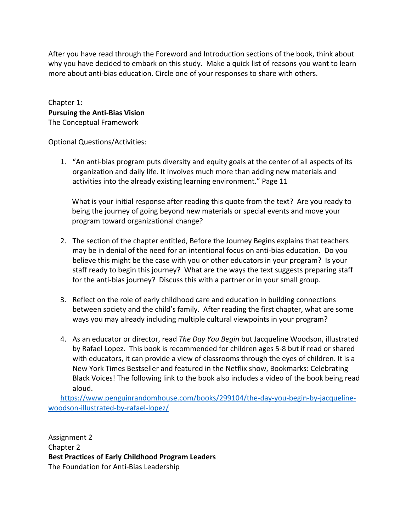After you have read through the Foreword and Introduction sections of the book, think about why you have decided to embark on this study. Make a quick list of reasons you want to learn more about anti-bias education. Circle one of your responses to share with others.

Chapter 1: **Pursuing the Anti-Bias Vision** The Conceptual Framework

Optional Questions/Activities:

1. "An anti-bias program puts diversity and equity goals at the center of all aspects of its organization and daily life. It involves much more than adding new materials and activities into the already existing learning environment." Page 11

What is your initial response after reading this quote from the text? Are you ready to being the journey of going beyond new materials or special events and move your program toward organizational change?

- 2. The section of the chapter entitled, Before the Journey Begins explains that teachers may be in denial of the need for an intentional focus on anti-bias education. Do you believe this might be the case with you or other educators in your program? Is your staff ready to begin this journey? What are the ways the text suggests preparing staff for the anti-bias journey? Discuss this with a partner or in your small group.
- 3. Reflect on the role of early childhood care and education in building connections between society and the child's family. After reading the first chapter, what are some ways you may already including multiple cultural viewpoints in your program?
- 4. As an educator or director, read *The Day You Begin* but Jacqueline Woodson, illustrated by Rafael Lopez. This book is recommended for children ages 5-8 but if read or shared with educators, it can provide a view of classrooms through the eyes of children. It is a New York Times Bestseller and featured in the Netflix show, Bookmarks: Celebrating Black Voices! The following link to the book also includes a video of the book being read aloud.

[https://www.penguinrandomhouse.com/books/299104/the-day-you-begin-by-jacqueline](https://www.penguinrandomhouse.com/books/299104/the-day-you-begin-by-jacqueline-%20woodson-illustrated-by-rafael-lopez/)[woodson-illustrated-by-rafael-lopez/](https://www.penguinrandomhouse.com/books/299104/the-day-you-begin-by-jacqueline-%20woodson-illustrated-by-rafael-lopez/)

Assignment 2 Chapter 2 **Best Practices of Early Childhood Program Leaders** The Foundation for Anti-Bias Leadership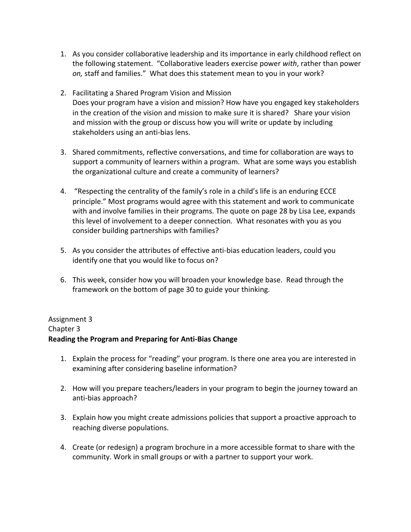- 1. As you consider collaborative leadership and its importance in early childhood reflect on the following statement. "Collaborative leaders exercise power *with*, rather than power *on,* staff and families." What does this statement mean to you in your work?
- 2. Facilitating a Shared Program Vision and Mission Does your program have a vision and mission? How have you engaged key stakeholders in the creation of the vision and mission to make sure it is shared? Share your vision and mission with the group or discuss how you will write or update by including stakeholders using an anti-bias lens.
- 3. Shared commitments, reflective conversations, and time for collaboration are ways to support a community of learners within a program. What are some ways you establish the organizational culture and create a community of learners?
- 4. "Respecting the centrality of the family's role in a child's life is an enduring ECCE principle." Most programs would agree with this statement and work to communicate with and involve families in their programs. The quote on page 28 by Lisa Lee, expands this level of involvement to a deeper connection. What resonates with you as you consider building partnerships with families?
- 5. As you consider the attributes of effective anti-bias education leaders, could you identify one that you would like to focus on?
- 6. This week, consider how you will broaden your knowledge base. Read through the framework on the bottom of page 30 to guide your thinking.

# Assignment 3 Chapter 3 **Reading the Program and Preparing for Anti-Bias Change**

- 1. Explain the process for "reading" your program. Is there one area you are interested in examining after considering baseline information?
- 2. How will you prepare teachers/leaders in your program to begin the journey toward an anti-bias approach?
- 3. Explain how you might create admissions policies that support a proactive approach to reaching diverse populations.
- 4. Create (or redesign) a program brochure in a more accessible format to share with the community. Work in small groups or with a partner to support your work.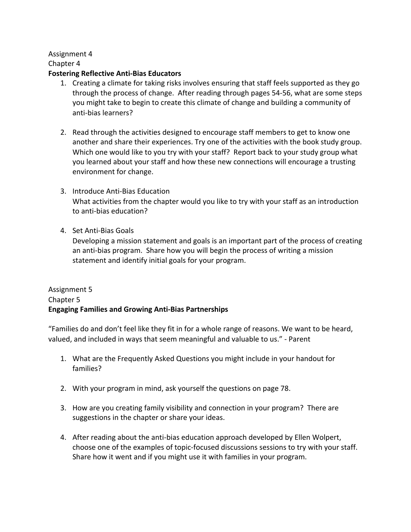# Assignment 4

Chapter 4

#### **Fostering Reflective Anti-Bias Educators**

- 1. Creating a climate for taking risks involves ensuring that staff feels supported as they go through the process of change. After reading through pages 54-56, what are some steps you might take to begin to create this climate of change and building a community of anti-bias learners?
- 2. Read through the activities designed to encourage staff members to get to know one another and share their experiences. Try one of the activities with the book study group. Which one would like to you try with your staff? Report back to your study group what you learned about your staff and how these new connections will encourage a trusting environment for change.
- 3. Introduce Anti-Bias Education What activities from the chapter would you like to try with your staff as an introduction to anti-bias education?
- 4. Set Anti-Bias Goals

Developing a mission statement and goals is an important part of the process of creating an anti-bias program. Share how you will begin the process of writing a mission statement and identify initial goals for your program.

# Assignment 5 Chapter 5 **Engaging Families and Growing Anti-Bias Partnerships**

"Families do and don't feel like they fit in for a whole range of reasons. We want to be heard, valued, and included in ways that seem meaningful and valuable to us." - Parent

- 1. What are the Frequently Asked Questions you might include in your handout for families?
- 2. With your program in mind, ask yourself the questions on page 78.
- 3. How are you creating family visibility and connection in your program? There are suggestions in the chapter or share your ideas.
- 4. After reading about the anti-bias education approach developed by Ellen Wolpert, choose one of the examples of topic-focused discussions sessions to try with your staff. Share how it went and if you might use it with families in your program.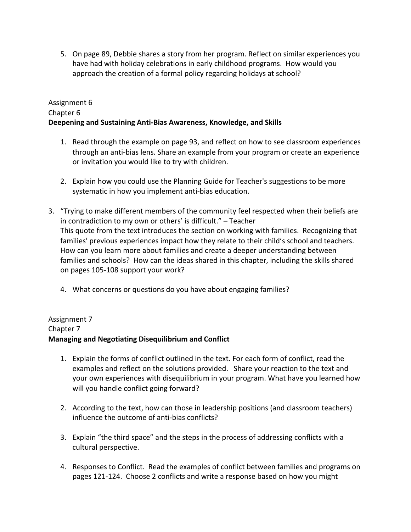5. On page 89, Debbie shares a story from her program. Reflect on similar experiences you have had with holiday celebrations in early childhood programs. How would you approach the creation of a formal policy regarding holidays at school?

## Assignment 6 Chapter 6 **Deepening and Sustaining Anti-Bias Awareness, Knowledge, and Skills**

- 1. Read through the example on page 93, and reflect on how to see classroom experiences through an anti-bias lens. Share an example from your program or create an experience or invitation you would like to try with children.
- 2. Explain how you could use the Planning Guide for Teacher's suggestions to be more systematic in how you implement anti-bias education.
- 3. "Trying to make different members of the community feel respected when their beliefs are in contradiction to my own or others' is difficult." – Teacher This quote from the text introduces the section on working with families. Recognizing that families' previous experiences impact how they relate to their child's school and teachers. How can you learn more about families and create a deeper understanding between families and schools? How can the ideas shared in this chapter, including the skills shared on pages 105-108 support your work?
	- 4. What concerns or questions do you have about engaging families?

## Assignment 7 Chapter 7 **Managing and Negotiating Disequilibrium and Conflict**

- 1. Explain the forms of conflict outlined in the text. For each form of conflict, read the examples and reflect on the solutions provided. Share your reaction to the text and your own experiences with disequilibrium in your program. What have you learned how will you handle conflict going forward?
- 2. According to the text, how can those in leadership positions (and classroom teachers) influence the outcome of anti-bias conflicts?
- 3. Explain "the third space" and the steps in the process of addressing conflicts with a cultural perspective.
- 4. Responses to Conflict. Read the examples of conflict between families and programs on pages 121-124. Choose 2 conflicts and write a response based on how you might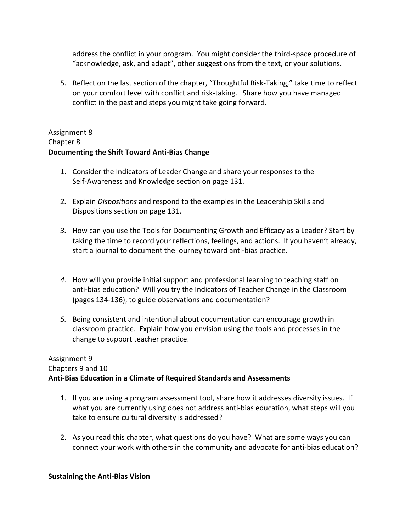address the conflict in your program. You might consider the third-space procedure of "acknowledge, ask, and adapt", other suggestions from the text, or your solutions.

5. Reflect on the last section of the chapter, "Thoughtful Risk-Taking," take time to reflect on your comfort level with conflict and risk-taking. Share how you have managed conflict in the past and steps you might take going forward.

# Assignment 8 Chapter 8 **Documenting the Shift Toward Anti-Bias Change**

- 1. Consider the Indicators of Leader Change and share your responses to the Self-Awareness and Knowledge section on page 131.
- *2.* Explain *Dispositions* and respond to the examples in the Leadership Skills and Dispositions section on page 131.
- *3.* How can you use the Tools for Documenting Growth and Efficacy as a Leader? Start by taking the time to record your reflections, feelings, and actions. If you haven't already, start a journal to document the journey toward anti-bias practice.
- *4.* How will you provide initial support and professional learning to teaching staff on anti-bias education? Will you try the Indicators of Teacher Change in the Classroom (pages 134-136), to guide observations and documentation?
- *5.* Being consistent and intentional about documentation can encourage growth in classroom practice. Explain how you envision using the tools and processes in the change to support teacher practice.

## Assignment 9 Chapters 9 and 10 **Anti-Bias Education in a Climate of Required Standards and Assessments**

- 1. If you are using a program assessment tool, share how it addresses diversity issues. If what you are currently using does not address anti-bias education, what steps will you take to ensure cultural diversity is addressed?
- 2. As you read this chapter, what questions do you have? What are some ways you can connect your work with others in the community and advocate for anti-bias education?

#### **Sustaining the Anti-Bias Vision**